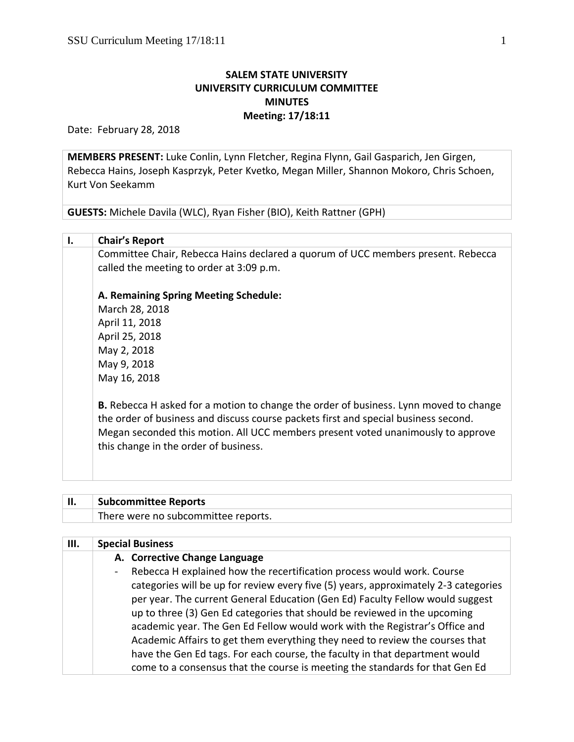## **SALEM STATE UNIVERSITY UNIVERSITY CURRICULUM COMMITTEE MINUTES Meeting: 17/18:11**

Date: February 28, 2018

**MEMBERS PRESENT:** Luke Conlin, Lynn Fletcher, Regina Flynn, Gail Gasparich, Jen Girgen, Rebecca Hains, Joseph Kasprzyk, Peter Kvetko, Megan Miller, Shannon Mokoro, Chris Schoen, Kurt Von Seekamm

**GUESTS:** Michele Davila (WLC), Ryan Fisher (BIO), Keith Rattner (GPH)

| <b>Chair's Report</b>                                                                                                        |  |  |
|------------------------------------------------------------------------------------------------------------------------------|--|--|
| Committee Chair, Rebecca Hains declared a quorum of UCC members present. Rebecca<br>called the meeting to order at 3:09 p.m. |  |  |
| A. Remaining Spring Meeting Schedule:<br>$M = 25$ $\sim$ 0.0 0.010                                                           |  |  |

March 28, 2018 April 11, 2018 April 25, 2018 May 2, 2018 May 9, 2018 May 16, 2018

**B.** Rebecca H asked for a motion to change the order of business. Lynn moved to change the order of business and discuss course packets first and special business second. Megan seconded this motion. All UCC members present voted unanimously to approve this change in the order of business.

| <b>Subcommittee Reports</b>         |
|-------------------------------------|
| There were no subcommittee reports. |

| Ш. | <b>Special Business</b>                                                             |
|----|-------------------------------------------------------------------------------------|
|    | A. Corrective Change Language                                                       |
|    | Rebecca H explained how the recertification process would work. Course              |
|    | categories will be up for review every five (5) years, approximately 2-3 categories |
|    | per year. The current General Education (Gen Ed) Faculty Fellow would suggest       |
|    | up to three (3) Gen Ed categories that should be reviewed in the upcoming           |
|    | academic year. The Gen Ed Fellow would work with the Registrar's Office and         |
|    | Academic Affairs to get them everything they need to review the courses that        |
|    | have the Gen Ed tags. For each course, the faculty in that department would         |
|    | come to a consensus that the course is meeting the standards for that Gen Ed        |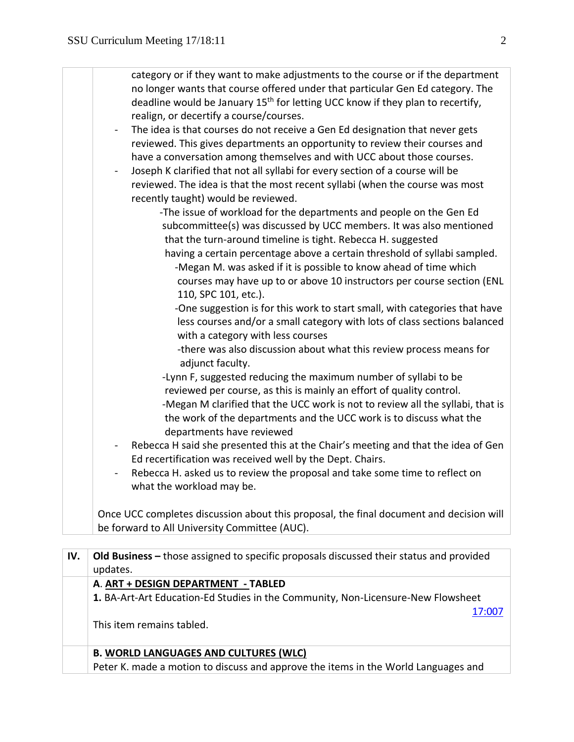| what the workload may be.<br>Once UCC completes discussion about this proposal, the final document and decision will<br>be forward to All University Committee (AUC). | $\blacksquare$<br>$\overline{\phantom{a}}$<br>$\overline{\phantom{0}}$ | category or if they want to make adjustments to the course or if the department<br>no longer wants that course offered under that particular Gen Ed category. The<br>deadline would be January 15 <sup>th</sup> for letting UCC know if they plan to recertify,<br>realign, or decertify a course/courses.<br>The idea is that courses do not receive a Gen Ed designation that never gets<br>reviewed. This gives departments an opportunity to review their courses and<br>have a conversation among themselves and with UCC about those courses.<br>Joseph K clarified that not all syllabi for every section of a course will be<br>reviewed. The idea is that the most recent syllabi (when the course was most<br>recently taught) would be reviewed.<br>-The issue of workload for the departments and people on the Gen Ed<br>subcommittee(s) was discussed by UCC members. It was also mentioned<br>that the turn-around timeline is tight. Rebecca H. suggested<br>having a certain percentage above a certain threshold of syllabi sampled.<br>-Megan M. was asked if it is possible to know ahead of time which<br>courses may have up to or above 10 instructors per course section (ENL<br>110, SPC 101, etc.).<br>-One suggestion is for this work to start small, with categories that have<br>less courses and/or a small category with lots of class sections balanced<br>with a category with less courses<br>-there was also discussion about what this review process means for<br>adjunct faculty.<br>-Lynn F, suggested reducing the maximum number of syllabi to be<br>reviewed per course, as this is mainly an effort of quality control.<br>-Megan M clarified that the UCC work is not to review all the syllabi, that is<br>the work of the departments and the UCC work is to discuss what the<br>departments have reviewed<br>Rebecca H said she presented this at the Chair's meeting and that the idea of Gen<br>Ed recertification was received well by the Dept. Chairs. |
|-----------------------------------------------------------------------------------------------------------------------------------------------------------------------|------------------------------------------------------------------------|-------------------------------------------------------------------------------------------------------------------------------------------------------------------------------------------------------------------------------------------------------------------------------------------------------------------------------------------------------------------------------------------------------------------------------------------------------------------------------------------------------------------------------------------------------------------------------------------------------------------------------------------------------------------------------------------------------------------------------------------------------------------------------------------------------------------------------------------------------------------------------------------------------------------------------------------------------------------------------------------------------------------------------------------------------------------------------------------------------------------------------------------------------------------------------------------------------------------------------------------------------------------------------------------------------------------------------------------------------------------------------------------------------------------------------------------------------------------------------------------------------------------------------------------------------------------------------------------------------------------------------------------------------------------------------------------------------------------------------------------------------------------------------------------------------------------------------------------------------------------------------------------------------------------------------------------------------------------------------------------------------------|
|                                                                                                                                                                       |                                                                        | Rebecca H. asked us to review the proposal and take some time to reflect on                                                                                                                                                                                                                                                                                                                                                                                                                                                                                                                                                                                                                                                                                                                                                                                                                                                                                                                                                                                                                                                                                                                                                                                                                                                                                                                                                                                                                                                                                                                                                                                                                                                                                                                                                                                                                                                                                                                                 |
|                                                                                                                                                                       |                                                                        |                                                                                                                                                                                                                                                                                                                                                                                                                                                                                                                                                                                                                                                                                                                                                                                                                                                                                                                                                                                                                                                                                                                                                                                                                                                                                                                                                                                                                                                                                                                                                                                                                                                                                                                                                                                                                                                                                                                                                                                                             |

| IV. | <b>Old Business</b> – those assigned to specific proposals discussed their status and provided |
|-----|------------------------------------------------------------------------------------------------|
|     | updates.                                                                                       |
|     | A. ART + DESIGN DEPARTMENT - TABLED                                                            |
|     | 1. BA-Art-Art Education-Ed Studies in the Community, Non-Licensure-New Flowsheet               |
|     | 17:007                                                                                         |
|     | This item remains tabled.                                                                      |
|     |                                                                                                |
|     | <b>B. WORLD LANGUAGES AND CULTURES (WLC)</b>                                                   |
|     | Peter K. made a motion to discuss and approve the items in the World Languages and             |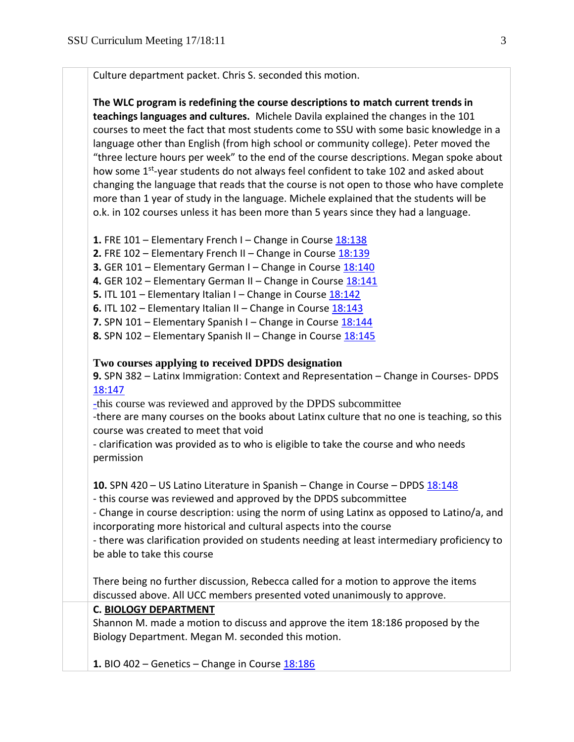Culture department packet. Chris S. seconded this motion.

**The WLC program is redefining the course descriptions to match current trends in teachings languages and cultures.** Michele Davila explained the changes in the 101 courses to meet the fact that most students come to SSU with some basic knowledge in a language other than English (from high school or community college). Peter moved the "three lecture hours per week" to the end of the course descriptions. Megan spoke about how some 1<sup>st</sup>-year students do not always feel confident to take 102 and asked about changing the language that reads that the course is not open to those who have complete more than 1 year of study in the language. Michele explained that the students will be o.k. in 102 courses unless it has been more than 5 years since they had a language.

- **1.** FRE 101 Elementary French I Change in Course [18:138](https://polaris.salemstate.edu/governance/?trackingNum=18:138&search=all)
- **2.** FRE 102 Elementary French II Change in Course [18:139](https://polaris.salemstate.edu/governance/?trackingNum=18:139&search=all)
- **3.** GER 101 Elementary German I Change in Course [18:140](https://polaris.salemstate.edu/governance/?trackingNum=18:140&search=all)
- **4.** GER 102 Elementary German II Change in Course [18:141](https://polaris.salemstate.edu/governance/?trackingNum=18:141&search=all)
- **5.** ITL 101 Elementary Italian I Change in Course [18:142](https://polaris.salemstate.edu/governance/?trackingNum=18:142&search=all)
- **6.** ITL 102 Elementary Italian II Change in Course [18:143](https://polaris.salemstate.edu/governance/?trackingNum=18:143&search=all)
- **7.** SPN 101 Elementary Spanish I Change in Course [18:144](https://polaris.salemstate.edu/governance/?trackingNum=18:144&search=all)
- **8.** SPN 102 Elementary Spanish II Change in Course [18:145](https://polaris.salemstate.edu/governance/?trackingNum=18:145&search=all)

## **Two courses applying to received DPDS designation**

**9.** SPN 382 – Latinx Immigration: Context and Representation – Change in Courses- DPDS [18:147](https://polaris.salemstate.edu/governance/?trackingNum=18:147&search=all)

-this course was reviewed and approved by the DPDS subcommittee

-there are many courses on the books about Latinx culture that no one is teaching, so this course was created to meet that void

- clarification was provided as to who is eligible to take the course and who needs permission

**10.** SPN 420 – US Latino Literature in Spanish – Change in Course – DPDS [18:148](https://polaris.salemstate.edu/governance/?trackingNum=18:148&search=all)

- this course was reviewed and approved by the DPDS subcommittee

- Change in course description: using the norm of using Latinx as opposed to Latino/a, and incorporating more historical and cultural aspects into the course

- there was clarification provided on students needing at least intermediary proficiency to be able to take this course

There being no further discussion, Rebecca called for a motion to approve the items discussed above. All UCC members presented voted unanimously to approve.

## **C. BIOLOGY DEPARTMENT**

Shannon M. made a motion to discuss and approve the item 18:186 proposed by the Biology Department. Megan M. seconded this motion.

**1.** BIO 402 – Genetics – Change in Course [18:186](https://polaris.salemstate.edu/governance/?trackingNum=18:186&search=all)